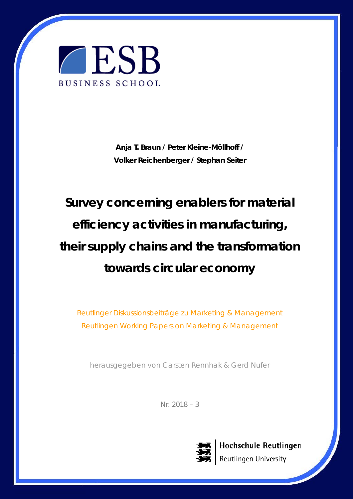

**Anja T. Braun / Peter Kleine-Möllhoff / Volker Reichenberger / Stephan Seiter** 

# **Survey concerning enablers for material efficiency activities in manufacturing, their supply chains and the transformation towards circular economy**

Reutlinger Diskussionsbeiträge zu Marketing & Management Reutlingen Working Papers on Marketing & Management

herausgegeben von Carsten Rennhak & Gerd Nufer

Nr. 2018 – 3



Hochschule Reutlingen Reutlingen University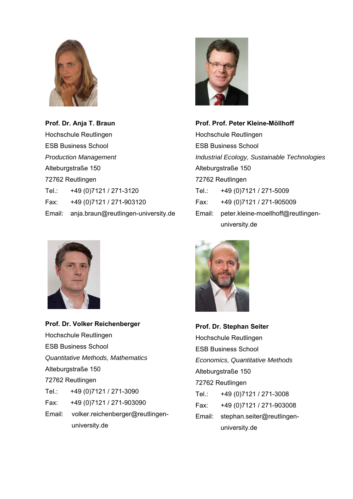

**Prof. Dr. Anja T. Braun**  Hochschule Reutlingen ESB Business School *Production Management*  Alteburgstraße 150 72762 Reutlingen Tel.: +49 (0)7121 / 271-3120 Fax: +49 (0)7121 / 271-903120 Email: anja.braun@reutlingen-university.de



**Prof. Dr. Volker Reichenberger**  Hochschule Reutlingen ESB Business School *Quantitative Methods, Mathematics*  Alteburgstraße 150 72762 Reutlingen Tel.: +49 (0)7121 / 271-3090 Fax: +49 (0)7121 / 271-903090 Email: volker.reichenberger@reutlingen university.de



**Prof. Prof. Peter Kleine-Möllhoff**  Hochschule Reutlingen ESB Business School *Industrial Ecology, Sustainable Technologies*  Alteburgstraße 150 72762 Reutlingen Tel.: +49 (0)7121 / 271-5009 Fax: +49 (0)7121 / 271-905009 Email: peter.kleine-moellhoff@reutlingen university.de



**Prof. Dr. Stephan Seiter**  Hochschule Reutlingen ESB Business School *Economics, Quantitative Methods*  Alteburgstraße 150 72762 Reutlingen Tel.: +49 (0)7121 / 271-3008 Fax: +49 (0)7121 / 271-903008 Email: stephan.seiter@reutlingen university.de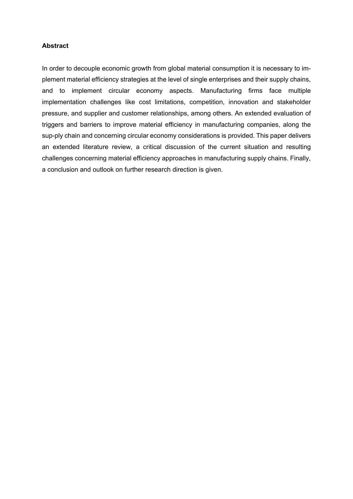#### **Abstract**

In order to decouple economic growth from global material consumption it is necessary to implement material efficiency strategies at the level of single enterprises and their supply chains, and to implement circular economy aspects. Manufacturing firms face multiple implementation challenges like cost limitations, competition, innovation and stakeholder pressure, and supplier and customer relationships, among others. An extended evaluation of triggers and barriers to improve material efficiency in manufacturing companies, along the sup-ply chain and concerning circular economy considerations is provided. This paper delivers an extended literature review, a critical discussion of the current situation and resulting challenges concerning material efficiency approaches in manufacturing supply chains. Finally, a conclusion and outlook on further research direction is given.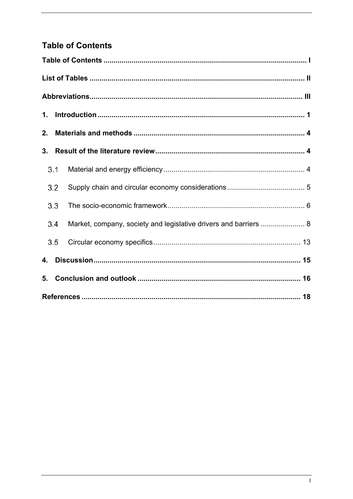# **Table of Contents**

| 1. |     |                                                                  |  |  |  |  |
|----|-----|------------------------------------------------------------------|--|--|--|--|
| 2. |     |                                                                  |  |  |  |  |
| 3. |     |                                                                  |  |  |  |  |
|    | 3.1 |                                                                  |  |  |  |  |
|    | 3.2 |                                                                  |  |  |  |  |
|    | 3.3 |                                                                  |  |  |  |  |
|    | 3.4 | Market, company, society and legislative drivers and barriers  8 |  |  |  |  |
|    | 3.5 |                                                                  |  |  |  |  |
| 4. |     |                                                                  |  |  |  |  |
| 5. |     |                                                                  |  |  |  |  |
|    |     |                                                                  |  |  |  |  |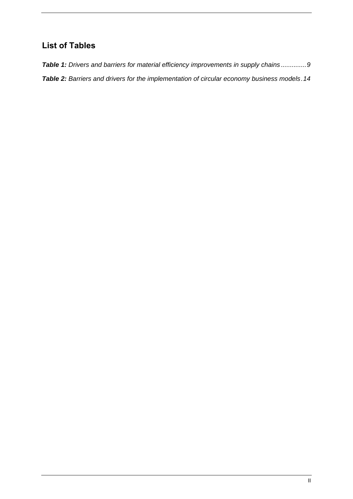## **List of Tables**

*Table 1: Drivers and barriers for material efficiency improvements in supply chains .............. 9 Table 2: Barriers and drivers for the implementation of circular economy business models . 14*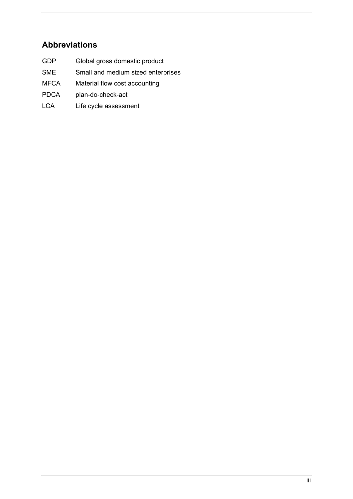## **Abbreviations**

- GDP Global gross domestic product
- SME Small and medium sized enterprises
- MFCA Material flow cost accounting
- PDCA plan-do-check-act
- LCA Life cycle assessment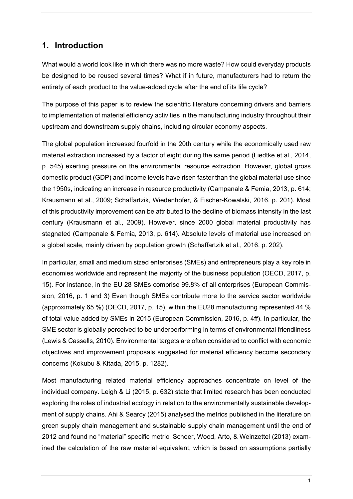## **1. Introduction**

What would a world look like in which there was no more waste? How could everyday products be designed to be reused several times? What if in future, manufacturers had to return the entirety of each product to the value-added cycle after the end of its life cycle?

The purpose of this paper is to review the scientific literature concerning drivers and barriers to implementation of material efficiency activities in the manufacturing industry throughout their upstream and downstream supply chains, including circular economy aspects.

The global population increased fourfold in the 20th century while the economically used raw material extraction increased by a factor of eight during the same period (Liedtke et al., 2014, p. 545) exerting pressure on the environmental resource extraction. However, global gross domestic product (GDP) and income levels have risen faster than the global material use since the 1950s, indicating an increase in resource productivity (Campanale & Femia, 2013, p. 614; Krausmann et al., 2009; Schaffartzik, Wiedenhofer, & Fischer-Kowalski, 2016, p. 201). Most of this productivity improvement can be attributed to the decline of biomass intensity in the last century (Krausmann et al., 2009). However, since 2000 global material productivity has stagnated (Campanale & Femia, 2013, p. 614). Absolute levels of material use increased on a global scale, mainly driven by population growth (Schaffartzik et al., 2016, p. 202).

In particular, small and medium sized enterprises (SMEs) and entrepreneurs play a key role in economies worldwide and represent the majority of the business population (OECD, 2017, p. 15). For instance, in the EU 28 SMEs comprise 99.8% of all enterprises (European Commission, 2016, p. 1 and 3) Even though SMEs contribute more to the service sector worldwide (approximately 65 %) (OECD, 2017, p. 15), within the EU28 manufacturing represented 44 % of total value added by SMEs in 2015 (European Commission, 2016, p. 4ff). In particular, the SME sector is globally perceived to be underperforming in terms of environmental friendliness (Lewis & Cassells, 2010). Environmental targets are often considered to conflict with economic objectives and improvement proposals suggested for material efficiency become secondary concerns (Kokubu & Kitada, 2015, p. 1282).

Most manufacturing related material efficiency approaches concentrate on level of the individual company. Leigh & Li (2015, p. 632) state that limited research has been conducted exploring the roles of industrial ecology in relation to the environmentally sustainable development of supply chains. Ahi & Searcy (2015) analysed the metrics published in the literature on green supply chain management and sustainable supply chain management until the end of 2012 and found no "material" specific metric. Schoer, Wood, Arto, & Weinzettel (2013) examined the calculation of the raw material equivalent, which is based on assumptions partially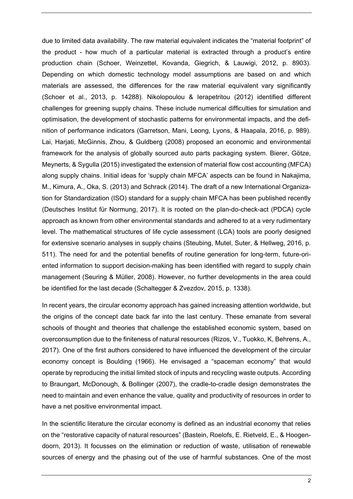due to limited data availability. The raw material equivalent indicates the "material footprint" of the product - how much of a particular material is extracted through a product's entire production chain (Schoer, Weinzettel, Kovanda, Giegrich, & Lauwigi, 2012, p. 8903). Depending on which domestic technology model assumptions are based on and which materials are assessed, the differences for the raw material equivalent vary significantly (Schoer et al., 2013, p. 14288). Nikolopoulou & Ierapetritou (2012) identified different challenges for greening supply chains. These include numerical difficulties for simulation and optimisation, the development of stochastic patterns for environmental impacts, and the definition of performance indicators (Garretson, Mani, Leong, Lyons, & Haapala, 2016, p. 989). Lai, Harjati, McGinnis, Zhou, & Guldberg (2008) proposed an economic and environmental framework for the analysis of globally sourced auto parts packaging system. Bierer, Götze, Meynerts, & Sygulla (2015) investigated the extension of material flow cost accounting (MFCA) along supply chains. Initial ideas for 'supply chain MFCA' aspects can be found in Nakajima, M., Kimura, A., Oka, S. (2013) and Schrack (2014). The draft of a new International Organization for Standardization (ISO) standard for a supply chain MFCA has been published recently (Deutsches Institut für Normung, 2017). It is rooted on the plan-do-check-act (PDCA) cycle approach as known from other environmental standards and adhered to at a very rudimentary level. The mathematical structures of life cycle assessment (LCA) tools are poorly designed for extensive scenario analyses in supply chains (Steubing, Mutel, Suter, & Hellweg, 2016, p. 511). The need for and the potential benefits of routine generation for long-term, future-oriented information to support decision-making has been identified with regard to supply chain management (Seuring & Müller, 2008). However, no further developments in the area could be identified for the last decade (Schaltegger & Zvezdov, 2015, p. 1338).

In recent years, the circular economy approach has gained increasing attention worldwide, but the origins of the concept date back far into the last century. These emanate from several schools of thought and theories that challenge the established economic system, based on overconsumption due to the finiteness of natural resources (Rizos, V., Tuokko, K, Behrens, A., 2017). One of the first authors considered to have influenced the development of the circular economy concept is Boulding (1966). He envisaged a "spaceman economy" that would operate by reproducing the initial limited stock of inputs and recycling waste outputs. According to Braungart, McDonough, & Bollinger (2007), the cradle-to-cradle design demonstrates the need to maintain and even enhance the value, quality and productivity of resources in order to have a net positive environmental impact.

In the scientific literature the circular economy is defined as an industrial economy that relies on the "restorative capacity of natural resources" (Bastein, Roelofs, E. Rietveld, E., & Hoogendoorn, 2013). It focusses on the elimination or reduction of waste, utilisation of renewable sources of energy and the phasing out of the use of harmful substances. One of the most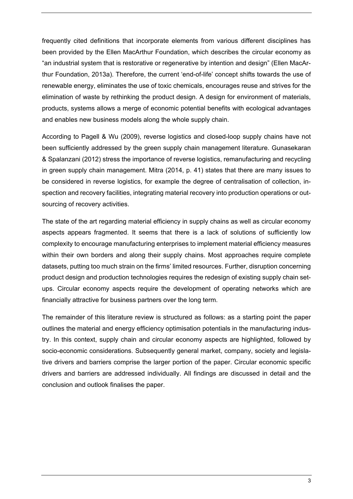frequently cited definitions that incorporate elements from various different disciplines has been provided by the Ellen MacArthur Foundation, which describes the circular economy as "an industrial system that is restorative or regenerative by intention and design" (Ellen MacArthur Foundation, 2013a). Therefore, the current 'end-of-life' concept shifts towards the use of renewable energy, eliminates the use of toxic chemicals, encourages reuse and strives for the elimination of waste by rethinking the product design. A design for environment of materials, products, systems allows a merge of economic potential benefits with ecological advantages and enables new business models along the whole supply chain.

According to Pagell & Wu (2009), reverse logistics and closed-loop supply chains have not been sufficiently addressed by the green supply chain management literature. Gunasekaran & Spalanzani (2012) stress the importance of reverse logistics, remanufacturing and recycling in green supply chain management. Mitra (2014, p. 41) states that there are many issues to be considered in reverse logistics, for example the degree of centralisation of collection, inspection and recovery facilities, integrating material recovery into production operations or outsourcing of recovery activities.

The state of the art regarding material efficiency in supply chains as well as circular economy aspects appears fragmented. It seems that there is a lack of solutions of sufficiently low complexity to encourage manufacturing enterprises to implement material efficiency measures within their own borders and along their supply chains. Most approaches require complete datasets, putting too much strain on the firms' limited resources. Further, disruption concerning product design and production technologies requires the redesign of existing supply chain setups. Circular economy aspects require the development of operating networks which are financially attractive for business partners over the long term.

The remainder of this literature review is structured as follows: as a starting point the paper outlines the material and energy efficiency optimisation potentials in the manufacturing industry. In this context, supply chain and circular economy aspects are highlighted, followed by socio-economic considerations. Subsequently general market, company, society and legislative drivers and barriers comprise the larger portion of the paper. Circular economic specific drivers and barriers are addressed individually. All findings are discussed in detail and the conclusion and outlook finalises the paper.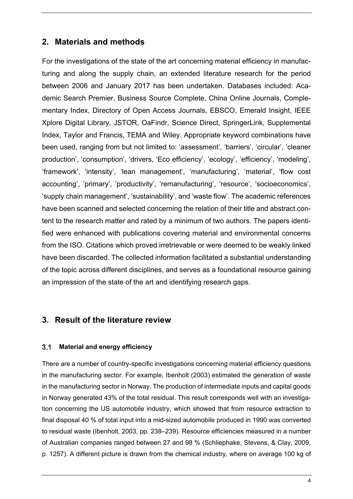## **2. Materials and methods**

For the investigations of the state of the art concerning material efficiency in manufacturing and along the supply chain, an extended literature research for the period between 2006 and January 2017 has been undertaken. Databases included: Academic Search Premier, Business Source Complete, China Online Journals, Complementary Index, Directory of Open Access Journals, EBSCO, Emerald Insight, IEEE Xplore Digital Library, JSTOR, OaFindr, Science Direct, SpringerLink, Supplemental Index, Taylor and Francis, TEMA and Wiley. Appropriate keyword combinations have been used, ranging from but not limited to: 'assessment', 'barriers', 'circular', 'cleaner production', 'consumption', 'drivers, 'Eco efficiency', 'ecology', 'efficiency', 'modeling', 'framework', 'intensity', 'lean management', 'manufacturing', 'material', 'flow cost accounting', 'primary', 'productivity', 'remanufacturing', 'resource', 'socioeconomics', 'supply chain management', 'sustainability', and 'waste flow'. The academic references have been scanned and selected concerning the relation of their title and abstract content to the research matter and rated by a minimum of two authors. The papers identified were enhanced with publications covering material and environmental concerns from the ISO. Citations which proved irretrievable or were deemed to be weakly linked have been discarded. The collected information facilitated a substantial understanding of the topic across different disciplines, and serves as a foundational resource gaining an impression of the state of the art and identifying research gaps.

## **3. Result of the literature review**

#### **Material and energy efficiency**

There are a number of country-specific investigations concerning material efficiency questions in the manufacturing sector. For example, Ibenholt (2003) estimated the generation of waste in the manufacturing sector in Norway. The production of intermediate inputs and capital goods in Norway generated 43% of the total residual. This result corresponds well with an investigation concerning the US automobile industry, which showed that from resource extraction to final disposal 40 % of total input into a mid-sized automobile produced in 1990 was converted to residual waste (Ibenholt, 2003, pp. 238–239). Resource efficiencies measured in a number of Australian companies ranged between 27 and 98 % (Schliephake, Stevens, & Clay, 2009, p. 1257). A different picture is drawn from the chemical industry, where on average 100 kg of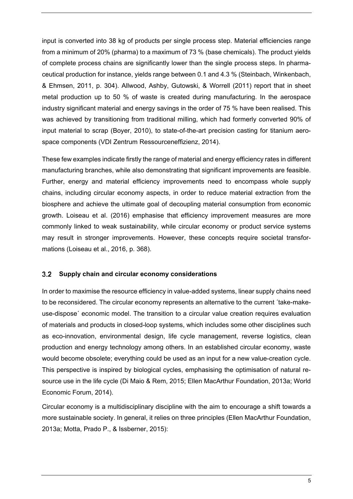input is converted into 38 kg of products per single process step. Material efficiencies range from a minimum of 20% (pharma) to a maximum of 73 % (base chemicals). The product yields of complete process chains are significantly lower than the single process steps. In pharmaceutical production for instance, yields range between 0.1 and 4.3 % (Steinbach, Winkenbach, & Ehmsen, 2011, p. 304). Allwood, Ashby, Gutowski, & Worrell (2011) report that in sheet metal production up to 50 % of waste is created during manufacturing. In the aerospace industry significant material and energy savings in the order of 75 % have been realised. This was achieved by transitioning from traditional milling, which had formerly converted 90% of input material to scrap (Boyer, 2010), to state-of-the-art precision casting for titanium aerospace components (VDI Zentrum Ressourceneffizienz, 2014).

These few examples indicate firstly the range of material and energy efficiency rates in different manufacturing branches, while also demonstrating that significant improvements are feasible. Further, energy and material efficiency improvements need to encompass whole supply chains, including circular economy aspects, in order to reduce material extraction from the biosphere and achieve the ultimate goal of decoupling material consumption from economic growth. Loiseau et al. (2016) emphasise that efficiency improvement measures are more commonly linked to weak sustainability, while circular economy or product service systems may result in stronger improvements. However, these concepts require societal transformations (Loiseau et al., 2016, p. 368).

#### **Supply chain and circular economy considerations**

In order to maximise the resource efficiency in value-added systems, linear supply chains need to be reconsidered. The circular economy represents an alternative to the current ´take-makeuse-dispose´ economic model. The transition to a circular value creation requires evaluation of materials and products in closed-loop systems, which includes some other disciplines such as eco-innovation, environmental design, life cycle management, reverse logistics, clean production and energy technology among others. In an established circular economy, waste would become obsolete; everything could be used as an input for a new value-creation cycle. This perspective is inspired by biological cycles, emphasising the optimisation of natural resource use in the life cycle (Di Maio & Rem, 2015; Ellen MacArthur Foundation, 2013a; World Economic Forum, 2014).

Circular economy is a multidisciplinary discipline with the aim to encourage a shift towards a more sustainable society. In general, it relies on three principles (Ellen MacArthur Foundation, 2013a; Motta, Prado P., & Issberner, 2015):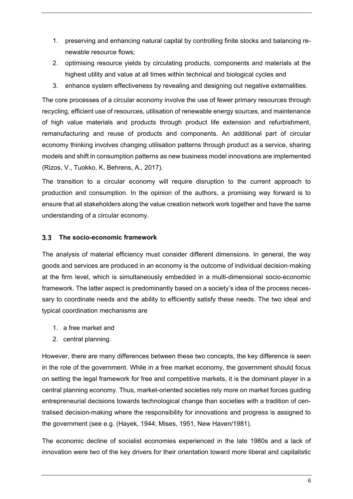- 1. preserving and enhancing natural capital by controlling finite stocks and balancing renewable resource flows;
- 2. optimising resource yields by circulating products, components and materials at the highest utility and value at all times within technical and biological cycles and
- 3. enhance system effectiveness by revealing and designing out negative externalities.

The core processes of a circular economy involve the use of fewer primary resources through recycling, efficient use of resources, utilisation of renewable energy sources, and maintenance of high value materials and products through product life extension and refurbishment, remanufacturing and reuse of products and components. An additional part of circular economy thinking involves changing utilisation patterns through product as a service, sharing models and shift in consumption patterns as new business model innovations are implemented (Rizos, V., Tuokko, K, Behrens, A., 2017).

The transition to a circular economy will require disruption to the current approach to production and consumption. In the opinion of the authors, a promising way forward is to ensure that all stakeholders along the value creation network work together and have the same understanding of a circular economy.

#### **The socio-economic framework**

The analysis of material efficiency must consider different dimensions. In general, the way goods and services are produced in an economy is the outcome of individual decision-making at the firm level, which is simultaneously embedded in a multi-dimensional socio-economic framework. The latter aspect is predominantly based on a society's idea of the process necessary to coordinate needs and the ability to efficiently satisfy these needs. The two ideal and typical coordination mechanisms are

- 1. a free market and
- 2. central planning.

However, there are many differences between these two concepts, the key difference is seen in the role of the government. While in a free market economy, the government should focus on setting the legal framework for free and competitive markets, it is the dominant player in a central planning economy. Thus, market-oriented societies rely more on market forces guiding entrepreneurial decisions towards technological change than societies with a tradition of centralised decision-making where the responsibility for innovations and progress is assigned to the government (see e.g. (Hayek, 1944; Mises, 1951, New Haven/1981).

The economic decline of socialist economies experienced in the late 1980s and a lack of innovation were two of the key drivers for their orientation toward more liberal and capitalistic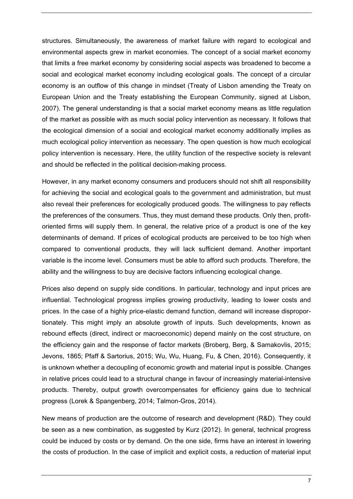structures. Simultaneously, the awareness of market failure with regard to ecological and environmental aspects grew in market economies. The concept of a social market economy that limits a free market economy by considering social aspects was broadened to become a social and ecological market economy including ecological goals. The concept of a circular economy is an outflow of this change in mindset (Treaty of Lisbon amending the Treaty on European Union and the Treaty establishing the European Community, signed at Lisbon, 2007). The general understanding is that a social market economy means as little regulation of the market as possible with as much social policy intervention as necessary. It follows that the ecological dimension of a social and ecological market economy additionally implies as much ecological policy intervention as necessary. The open question is how much ecological policy intervention is necessary. Here, the utility function of the respective society is relevant and should be reflected in the political decision-making process.

However, in any market economy consumers and producers should not shift all responsibility for achieving the social and ecological goals to the government and administration, but must also reveal their preferences for ecologically produced goods. The willingness to pay reflects the preferences of the consumers. Thus, they must demand these products. Only then, profitoriented firms will supply them. In general, the relative price of a product is one of the key determinants of demand. If prices of ecological products are perceived to be too high when compared to conventional products, they will lack sufficient demand. Another important variable is the income level. Consumers must be able to afford such products. Therefore, the ability and the willingness to buy are decisive factors influencing ecological change.

Prices also depend on supply side conditions. In particular, technology and input prices are influential. Technological progress implies growing productivity, leading to lower costs and prices. In the case of a highly price-elastic demand function, demand will increase disproportionately. This might imply an absolute growth of inputs. Such developments, known as rebound effects (direct, indirect or macroeconomic) depend mainly on the cost structure, on the efficiency gain and the response of factor markets (Broberg, Berg, & Samakovlis, 2015; Jevons, 1865; Pfaff & Sartorius, 2015; Wu, Wu, Huang, Fu, & Chen, 2016). Consequently, it is unknown whether a decoupling of economic growth and material input is possible. Changes in relative prices could lead to a structural change in favour of increasingly material-intensive products. Thereby, output growth overcompensates for efficiency gains due to technical progress (Lorek & Spangenberg, 2014; Talmon-Gros, 2014).

New means of production are the outcome of research and development (R&D). They could be seen as a new combination, as suggested by Kurz (2012). In general, technical progress could be induced by costs or by demand. On the one side, firms have an interest in lowering the costs of production. In the case of implicit and explicit costs, a reduction of material input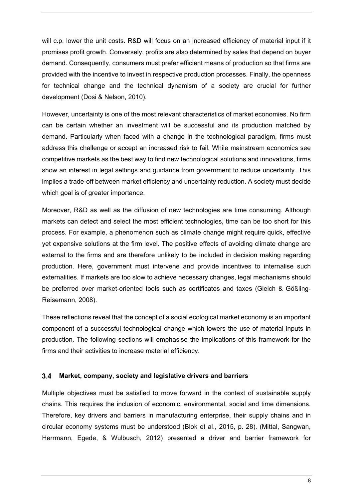will c.p. lower the unit costs. R&D will focus on an increased efficiency of material input if it promises profit growth. Conversely, profits are also determined by sales that depend on buyer demand. Consequently, consumers must prefer efficient means of production so that firms are provided with the incentive to invest in respective production processes. Finally, the openness for technical change and the technical dynamism of a society are crucial for further development (Dosi & Nelson, 2010).

However, uncertainty is one of the most relevant characteristics of market economies. No firm can be certain whether an investment will be successful and its production matched by demand. Particularly when faced with a change in the technological paradigm, firms must address this challenge or accept an increased risk to fail. While mainstream economics see competitive markets as the best way to find new technological solutions and innovations, firms show an interest in legal settings and guidance from government to reduce uncertainty. This implies a trade-off between market efficiency and uncertainty reduction. A society must decide which goal is of greater importance.

Moreover, R&D as well as the diffusion of new technologies are time consuming. Although markets can detect and select the most efficient technologies, time can be too short for this process. For example, a phenomenon such as climate change might require quick, effective yet expensive solutions at the firm level. The positive effects of avoiding climate change are external to the firms and are therefore unlikely to be included in decision making regarding production. Here, government must intervene and provide incentives to internalise such externalities. If markets are too slow to achieve necessary changes, legal mechanisms should be preferred over market-oriented tools such as certificates and taxes (Gleich & Gößling-Reisemann, 2008).

These reflections reveal that the concept of a social ecological market economy is an important component of a successful technological change which lowers the use of material inputs in production. The following sections will emphasise the implications of this framework for the firms and their activities to increase material efficiency.

#### **Market, company, society and legislative drivers and barriers**

Multiple objectives must be satisfied to move forward in the context of sustainable supply chains. This requires the inclusion of economic, environmental, social and time dimensions. Therefore, key drivers and barriers in manufacturing enterprise, their supply chains and in circular economy systems must be understood (Blok et al., 2015, p. 28). (Mittal, Sangwan, Herrmann, Egede, & Wulbusch, 2012) presented a driver and barrier framework for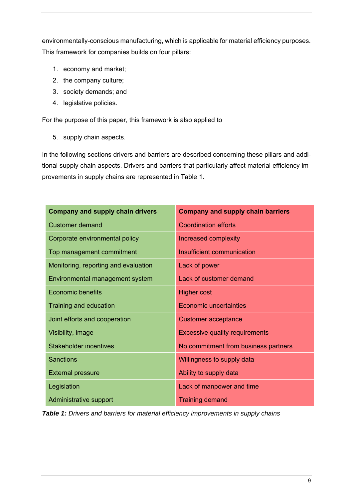environmentally-conscious manufacturing, which is applicable for material efficiency purposes. This framework for companies builds on four pillars:

- 1. economy and market;
- 2. the company culture;
- 3. society demands; and
- 4. legislative policies.

For the purpose of this paper, this framework is also applied to

5. supply chain aspects.

In the following sections drivers and barriers are described concerning these pillars and additional supply chain aspects. Drivers and barriers that particularly affect material efficiency improvements in supply chains are represented in Table 1.

| <b>Company and supply chain drivers</b> | <b>Company and supply chain barriers</b> |
|-----------------------------------------|------------------------------------------|
| <b>Customer demand</b>                  | <b>Coordination efforts</b>              |
| Corporate environmental policy          | Increased complexity                     |
| Top management commitment               | Insufficient communication               |
| Monitoring, reporting and evaluation    | Lack of power                            |
| Environmental management system         | Lack of customer demand                  |
| <b>Economic benefits</b>                | <b>Higher cost</b>                       |
| <b>Training and education</b>           | <b>Economic uncertainties</b>            |
| Joint efforts and cooperation           | <b>Customer acceptance</b>               |
| Visibility, image                       | <b>Excessive quality requirements</b>    |
| <b>Stakeholder incentives</b>           | No commitment from business partners     |
| <b>Sanctions</b>                        | Willingness to supply data               |
| <b>External pressure</b>                | Ability to supply data                   |
| Legislation                             | Lack of manpower and time                |
| Administrative support                  | <b>Training demand</b>                   |

*Table 1: Drivers and barriers for material efficiency improvements in supply chains*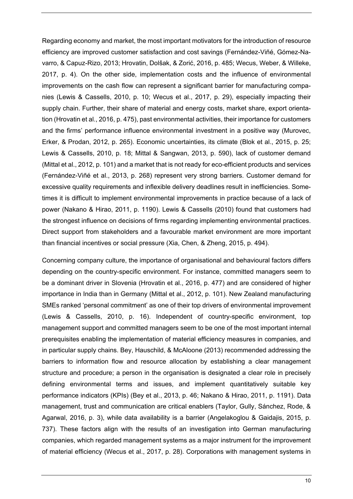Regarding economy and market, the most important motivators for the introduction of resource efficiency are improved customer satisfaction and cost savings (Fernández-Viñé, Gómez-Navarro, & Capuz-Rizo, 2013; Hrovatin, Dolšak, & Zorić, 2016, p. 485; Wecus, Weber, & Willeke, 2017, p. 4). On the other side, implementation costs and the influence of environmental improvements on the cash flow can represent a significant barrier for manufacturing companies (Lewis & Cassells, 2010, p. 10; Wecus et al., 2017, p. 29), especially impacting their supply chain. Further, their share of material and energy costs, market share, export orientation (Hrovatin et al., 2016, p. 475), past environmental activities, their importance for customers and the firms' performance influence environmental investment in a positive way (Murovec, Erker, & Prodan, 2012, p. 265). Economic uncertainties, its climate (Blok et al., 2015, p. 25; Lewis & Cassells, 2010, p. 18; Mittal & Sangwan, 2013, p. 590), lack of customer demand (Mittal et al., 2012, p. 101) and a market that is not ready for eco-efficient products and services (Fernández-Viñé et al., 2013, p. 268) represent very strong barriers. Customer demand for excessive quality requirements and inflexible delivery deadlines result in inefficiencies. Sometimes it is difficult to implement environmental improvements in practice because of a lack of power (Nakano & Hirao, 2011, p. 1190). Lewis & Cassells (2010) found that customers had the strongest influence on decisions of firms regarding implementing environmental practices. Direct support from stakeholders and a favourable market environment are more important than financial incentives or social pressure (Xia, Chen, & Zheng, 2015, p. 494).

Concerning company culture, the importance of organisational and behavioural factors differs depending on the country-specific environment. For instance, committed managers seem to be a dominant driver in Slovenia (Hrovatin et al., 2016, p. 477) and are considered of higher importance in India than in Germany (Mittal et al., 2012, p. 101). New Zealand manufacturing SMEs ranked 'personal commitment' as one of their top drivers of environmental improvement (Lewis & Cassells, 2010, p. 16). Independent of country-specific environment, top management support and committed managers seem to be one of the most important internal prerequisites enabling the implementation of material efficiency measures in companies, and in particular supply chains. Bey, Hauschild, & McAloone (2013) recommended addressing the barriers to information flow and resource allocation by establishing a clear management structure and procedure; a person in the organisation is designated a clear role in precisely defining environmental terms and issues, and implement quantitatively suitable key performance indicators (KPIs) (Bey et al., 2013, p. 46; Nakano & Hirao, 2011, p. 1191). Data management, trust and communication are critical enablers (Taylor, Gully, Sánchez, Rode, & Agarwal, 2016, p. 3), while data availability is a barrier (Angelakoglou & Gaidajis, 2015, p. 737). These factors align with the results of an investigation into German manufacturing companies, which regarded management systems as a major instrument for the improvement of material efficiency (Wecus et al., 2017, p. 28). Corporations with management systems in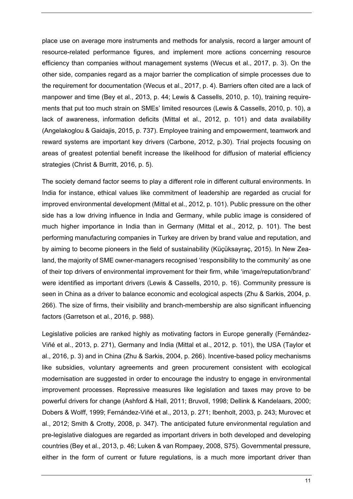place use on average more instruments and methods for analysis, record a larger amount of resource-related performance figures, and implement more actions concerning resource efficiency than companies without management systems (Wecus et al., 2017, p. 3). On the other side, companies regard as a major barrier the complication of simple processes due to the requirement for documentation (Wecus et al., 2017, p. 4). Barriers often cited are a lack of manpower and time (Bey et al., 2013, p. 44; Lewis & Cassells, 2010, p. 10), training requirements that put too much strain on SMEs' limited resources (Lewis & Cassells, 2010, p. 10), a lack of awareness, information deficits (Mittal et al., 2012, p. 101) and data availability (Angelakoglou & Gaidajis, 2015, p. 737). Employee training and empowerment, teamwork and reward systems are important key drivers (Carbone, 2012, p.30). Trial projects focusing on areas of greatest potential benefit increase the likelihood for diffusion of material efficiency strategies (Christ & Burritt, 2016, p. 5).

The society demand factor seems to play a different role in different cultural environments. In India for instance, ethical values like commitment of leadership are regarded as crucial for improved environmental development (Mittal et al., 2012, p. 101). Public pressure on the other side has a low driving influence in India and Germany, while public image is considered of much higher importance in India than in Germany (Mittal et al., 2012, p. 101). The best performing manufacturing companies in Turkey are driven by brand value and reputation, and by aiming to become pioneers in the field of sustainability (Küçüksayraç, 2015). In New Zealand, the majority of SME owner-managers recognised 'responsibility to the community' as one of their top drivers of environmental improvement for their firm, while 'image/reputation/brand' were identified as important drivers (Lewis & Cassells, 2010, p. 16). Community pressure is seen in China as a driver to balance economic and ecological aspects (Zhu & Sarkis, 2004, p. 266). The size of firms, their visibility and branch-membership are also significant influencing factors (Garretson et al., 2016, p. 988).

Legislative policies are ranked highly as motivating factors in Europe generally (Fernández-Viñé et al., 2013, p. 271), Germany and India (Mittal et al., 2012, p. 101), the USA (Taylor et al., 2016, p. 3) and in China (Zhu & Sarkis, 2004, p. 266). Incentive-based policy mechanisms like subsidies, voluntary agreements and green procurement consistent with ecological modernisation are suggested in order to encourage the industry to engage in environmental improvement processes. Repressive measures like legislation and taxes may prove to be powerful drivers for change (Ashford & Hall, 2011; Bruvoll, 1998; Dellink & Kandelaars, 2000; Dobers & Wolff, 1999; Fernández-Viñé et al., 2013, p. 271; Ibenholt, 2003, p. 243; Murovec et al., 2012; Smith & Crotty, 2008, p. 347). The anticipated future environmental regulation and pre-legislative dialogues are regarded as important drivers in both developed and developing countries (Bey et al., 2013, p. 46; Luken & van Rompaey, 2008, S75). Governmental pressure, either in the form of current or future regulations, is a much more important driver than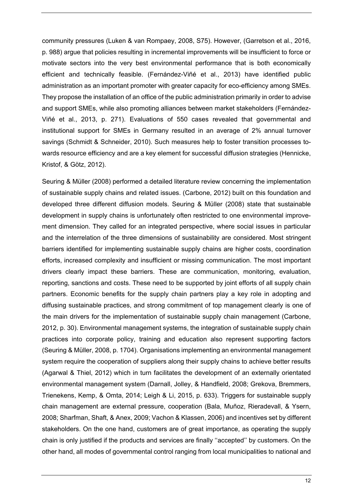community pressures (Luken & van Rompaey, 2008, S75). However, (Garretson et al., 2016, p. 988) argue that policies resulting in incremental improvements will be insufficient to force or motivate sectors into the very best environmental performance that is both economically efficient and technically feasible. (Fernández-Viñé et al., 2013) have identified public administration as an important promoter with greater capacity for eco-efficiency among SMEs. They propose the installation of an office of the public administration primarily in order to advise and support SMEs, while also promoting alliances between market stakeholders (Fernández-Viñé et al., 2013, p. 271). Evaluations of 550 cases revealed that governmental and institutional support for SMEs in Germany resulted in an average of 2% annual turnover savings (Schmidt & Schneider, 2010). Such measures help to foster transition processes towards resource efficiency and are a key element for successful diffusion strategies (Hennicke, Kristof, & Götz, 2012).

Seuring & Müller (2008) performed a detailed literature review concerning the implementation of sustainable supply chains and related issues. (Carbone, 2012) built on this foundation and developed three different diffusion models. Seuring & Müller (2008) state that sustainable development in supply chains is unfortunately often restricted to one environmental improvement dimension. They called for an integrated perspective, where social issues in particular and the interrelation of the three dimensions of sustainability are considered. Most stringent barriers identified for implementing sustainable supply chains are higher costs, coordination efforts, increased complexity and insufficient or missing communication. The most important drivers clearly impact these barriers. These are communication, monitoring, evaluation, reporting, sanctions and costs. These need to be supported by joint efforts of all supply chain partners. Economic benefits for the supply chain partners play a key role in adopting and diffusing sustainable practices, and strong commitment of top management clearly is one of the main drivers for the implementation of sustainable supply chain management (Carbone, 2012, p. 30). Environmental management systems, the integration of sustainable supply chain practices into corporate policy, training and education also represent supporting factors (Seuring & Müller, 2008, p. 1704). Organisations implementing an environmental management system require the cooperation of suppliers along their supply chains to achieve better results (Agarwal & Thiel, 2012) which in turn facilitates the development of an externally orientated environmental management system (Darnall, Jolley, & Handfield, 2008; Grekova, Bremmers, Trienekens, Kemp, & Omta, 2014; Leigh & Li, 2015, p. 633). Triggers for sustainable supply chain management are external pressure, cooperation (Bala, Muñoz, Rieradevall, & Ysern, 2008; Sharfman, Shaft, & Anex, 2009; Vachon & Klassen, 2006) and incentives set by different stakeholders. On the one hand, customers are of great importance, as operating the supply chain is only justified if the products and services are finally ''accepted'' by customers. On the other hand, all modes of governmental control ranging from local municipalities to national and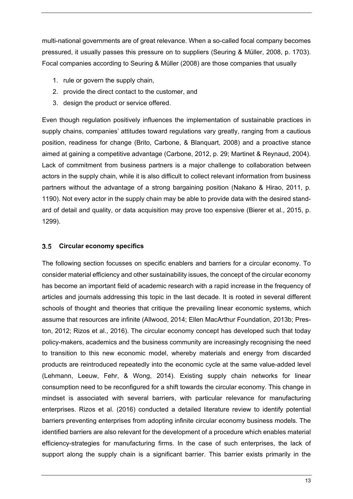multi-national governments are of great relevance. When a so-called focal company becomes pressured, it usually passes this pressure on to suppliers (Seuring & Müller, 2008, p. 1703). Focal companies according to Seuring & Müller (2008) are those companies that usually

- 1. rule or govern the supply chain,
- 2. provide the direct contact to the customer, and
- 3. design the product or service offered.

Even though regulation positively influences the implementation of sustainable practices in supply chains, companies' attitudes toward regulations vary greatly, ranging from a cautious position, readiness for change (Brito, Carbone, & Blanquart, 2008) and a proactive stance aimed at gaining a competitive advantage (Carbone, 2012, p. 29; Martinet & Reynaud, 2004). Lack of commitment from business partners is a major challenge to collaboration between actors in the supply chain, while it is also difficult to collect relevant information from business partners without the advantage of a strong bargaining position (Nakano & Hirao, 2011, p. 1190). Not every actor in the supply chain may be able to provide data with the desired standard of detail and quality, or data acquisition may prove too expensive (Bierer et al., 2015, p. 1299).

#### **Circular economy specifics**

The following section focusses on specific enablers and barriers for a circular economy. To consider material efficiency and other sustainability issues, the concept of the circular economy has become an important field of academic research with a rapid increase in the frequency of articles and journals addressing this topic in the last decade. It is rooted in several different schools of thought and theories that critique the prevailing linear economic systems, which assume that resources are infinite (Allwood, 2014; Ellen MacArthur Foundation, 2013b; Preston, 2012; Rizos et al., 2016). The circular economy concept has developed such that today policy-makers, academics and the business community are increasingly recognising the need to transition to this new economic model, whereby materials and energy from discarded products are reintroduced repeatedly into the economic cycle at the same value-added level (Lehmann, Leeuw, Fehr, & Wong, 2014). Existing supply chain networks for linear consumption need to be reconfigured for a shift towards the circular economy. This change in mindset is associated with several barriers, with particular relevance for manufacturing enterprises. Rizos et al. (2016) conducted a detailed literature review to identify potential barriers preventing enterprises from adopting infinite circular economy business models. The identified barriers are also relevant for the development of a procedure which enables material efficiency-strategies for manufacturing firms. In the case of such enterprises, the lack of support along the supply chain is a significant barrier. This barrier exists primarily in the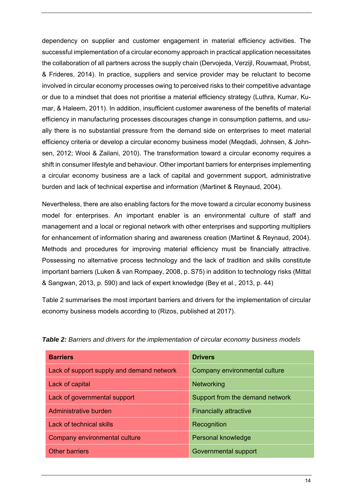dependency on supplier and customer engagement in material efficiency activities. The successful implementation of a circular economy approach in practical application necessitates the collaboration of all partners across the supply chain (Dervojeda, Verzijl, Rouwmaat, Probst, & Frideres, 2014). In practice, suppliers and service provider may be reluctant to become involved in circular economy processes owing to perceived risks to their competitive advantage or due to a mindset that does not prioritise a material efficiency strategy (Luthra, Kumar, Kumar, & Haleem, 2011). In addition, insufficient customer awareness of the benefits of material efficiency in manufacturing processes discourages change in consumption patterns, and usually there is no substantial pressure from the demand side on enterprises to meet material efficiency criteria or develop a circular economy business model (Meqdadi, Johnsen, & Johnsen, 2012; Wooi & Zailani, 2010). The transformation toward a circular economy requires a shift in consumer lifestyle and behaviour. Other important barriers for enterprises implementing a circular economy business are a lack of capital and government support, administrative burden and lack of technical expertise and information (Martinet & Reynaud, 2004).

Nevertheless, there are also enabling factors for the move toward a circular economy business model for enterprises. An important enabler is an environmental culture of staff and management and a local or regional network with other enterprises and supporting multipliers for enhancement of information sharing and awareness creation (Martinet & Reynaud, 2004). Methods and procedures for improving material efficiency must be financially attractive. Possessing no alternative process technology and the lack of tradition and skills constitute important barriers (Luken & van Rompaey, 2008, p. S75) in addition to technology risks (Mittal & Sangwan, 2013, p. 590) and lack of expert knowledge (Bey et al., 2013, p. 44)

Table 2 summarises the most important barriers and drivers for the implementation of circular economy business models according to (Rizos, published at 2017).

| <b>Barriers</b>                           | <b>Drivers</b>                  |
|-------------------------------------------|---------------------------------|
| Lack of support supply and demand network | Company environmental culture   |
| Lack of capital                           | Networking                      |
| Lack of governmental support              | Support from the demand network |
| Administrative burden                     | <b>Financially attractive</b>   |
| Lack of technical skills                  | Recognition                     |
| Company environmental culture             | Personal knowledge              |
| <b>Other barriers</b>                     | Governmental support            |

*Table 2: Barriers and drivers for the implementation of circular economy business models*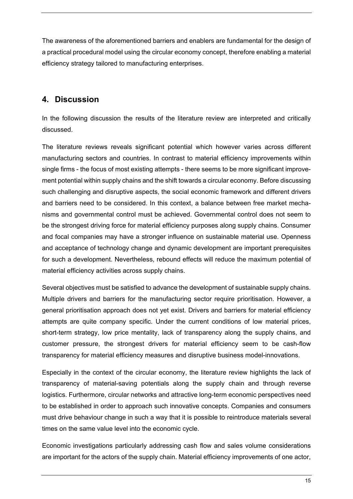The awareness of the aforementioned barriers and enablers are fundamental for the design of a practical procedural model using the circular economy concept, therefore enabling a material efficiency strategy tailored to manufacturing enterprises.

## **4. Discussion**

In the following discussion the results of the literature review are interpreted and critically discussed.

The literature reviews reveals significant potential which however varies across different manufacturing sectors and countries. In contrast to material efficiency improvements within single firms - the focus of most existing attempts - there seems to be more significant improvement potential within supply chains and the shift towards a circular economy. Before discussing such challenging and disruptive aspects, the social economic framework and different drivers and barriers need to be considered. In this context, a balance between free market mechanisms and governmental control must be achieved. Governmental control does not seem to be the strongest driving force for material efficiency purposes along supply chains. Consumer and focal companies may have a stronger influence on sustainable material use. Openness and acceptance of technology change and dynamic development are important prerequisites for such a development. Nevertheless, rebound effects will reduce the maximum potential of material efficiency activities across supply chains.

Several objectives must be satisfied to advance the development of sustainable supply chains. Multiple drivers and barriers for the manufacturing sector require prioritisation. However, a general prioritisation approach does not yet exist. Drivers and barriers for material efficiency attempts are quite company specific. Under the current conditions of low material prices, short-term strategy, low price mentality, lack of transparency along the supply chains, and customer pressure, the strongest drivers for material efficiency seem to be cash-flow transparency for material efficiency measures and disruptive business model-innovations.

Especially in the context of the circular economy, the literature review highlights the lack of transparency of material-saving potentials along the supply chain and through reverse logistics. Furthermore, circular networks and attractive long-term economic perspectives need to be established in order to approach such innovative concepts. Companies and consumers must drive behaviour change in such a way that it is possible to reintroduce materials several times on the same value level into the economic cycle.

Economic investigations particularly addressing cash flow and sales volume considerations are important for the actors of the supply chain. Material efficiency improvements of one actor,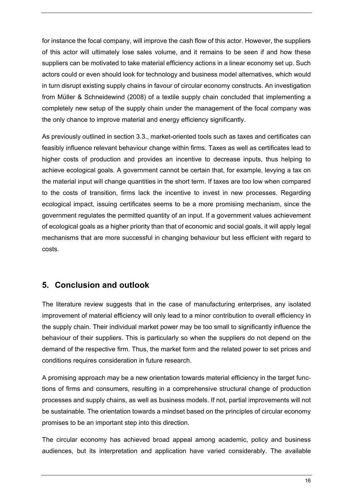for instance the focal company, will improve the cash flow of this actor. However, the suppliers of this actor will ultimately lose sales volume, and it remains to be seen if and how these suppliers can be motivated to take material efficiency actions in a linear economy set up. Such actors could or even should look for technology and business model alternatives, which would in turn disrupt existing supply chains in favour of circular economy constructs. An investigation from Müller & Schneidewind (2008) of a textile supply chain concluded that implementing a completely new setup of the supply chain under the management of the focal company was the only chance to improve material and energy efficiency significantly.

As previously outlined in section 3.3., market-oriented tools such as taxes and certificates can feasibly influence relevant behaviour change within firms. Taxes as well as certificates lead to higher costs of production and provides an incentive to decrease inputs, thus helping to achieve ecological goals. A government cannot be certain that, for example, levying a tax on the material input will change quantities in the short term. If taxes are too low when compared to the costs of transition, firms lack the incentive to invest in new processes. Regarding ecological impact, issuing certificates seems to be a more promising mechanism, since the government regulates the permitted quantity of an input. If a government values achievement of ecological goals as a higher priority than that of economic and social goals, it will apply legal mechanisms that are more successful in changing behaviour but less efficient with regard to costs.

## **5. Conclusion and outlook**

The literature review suggests that in the case of manufacturing enterprises, any isolated improvement of material efficiency will only lead to a minor contribution to overall efficiency in the supply chain. Their individual market power may be too small to significantly influence the behaviour of their suppliers. This is particularly so when the suppliers do not depend on the demand of the respective firm. Thus, the market form and the related power to set prices and conditions requires consideration in future research.

A promising approach may be a new orientation towards material efficiency in the target functions of firms and consumers, resulting in a comprehensive structural change of production processes and supply chains, as well as business models. If not, partial improvements will not be sustainable. The orientation towards a mindset based on the principles of circular economy promises to be an important step into this direction.

The circular economy has achieved broad appeal among academic, policy and business audiences, but its interpretation and application have varied considerably. The available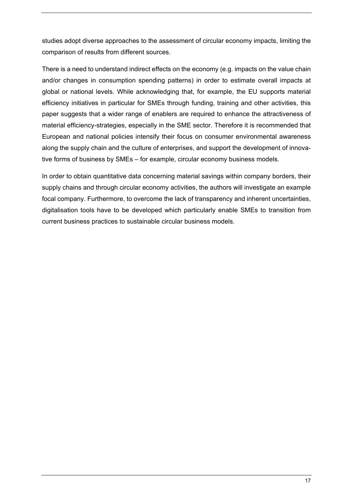studies adopt diverse approaches to the assessment of circular economy impacts, limiting the comparison of results from different sources.

There is a need to understand indirect effects on the economy (e.g. impacts on the value chain and/or changes in consumption spending patterns) in order to estimate overall impacts at global or national levels. While acknowledging that, for example, the EU supports material efficiency initiatives in particular for SMEs through funding, training and other activities, this paper suggests that a wider range of enablers are required to enhance the attractiveness of material efficiency-strategies, especially in the SME sector. Therefore it is recommended that European and national policies intensify their focus on consumer environmental awareness along the supply chain and the culture of enterprises, and support the development of innovative forms of business by SMEs – for example, circular economy business models.

In order to obtain quantitative data concerning material savings within company borders, their supply chains and through circular economy activities, the authors will investigate an example focal company. Furthermore, to overcome the lack of transparency and inherent uncertainties, digitalisation tools have to be developed which particularly enable SMEs to transition from current business practices to sustainable circular business models.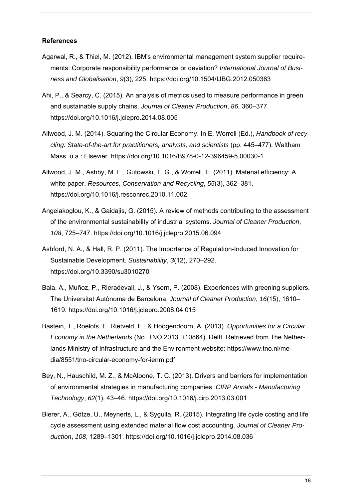#### **References**

- Agarwal, R., & Thiel, M. (2012). IBM's environmental management system supplier requirements: Corporate responsibility performance or deviation? *International Journal of Business and Globalisation*, *9*(3), 225. https://doi.org/10.1504/IJBG.2012.050363
- Ahi, P., & Searcy, C. (2015). An analysis of metrics used to measure performance in green and sustainable supply chains. *Journal of Cleaner Production*, *86*, 360–377. https://doi.org/10.1016/j.jclepro.2014.08.005
- Allwood, J. M. (2014). Squaring the Circular Economy. In E. Worrell (Ed.), *Handbook of recycling: State-of-the-art for practitioners, analysts, and scientists* (pp. 445–477). Waltham Mass. u.a.: Elsevier. https://doi.org/10.1016/B978-0-12-396459-5.00030-1
- Allwood, J. M., Ashby, M. F., Gutowski, T. G., & Worrell, E. (2011). Material efficiency: A white paper. *Resources, Conservation and Recycling*, *55*(3), 362–381. https://doi.org/10.1016/j.resconrec.2010.11.002
- Angelakoglou, K., & Gaidajis, G. (2015). A review of methods contributing to the assessment of the environmental sustainability of industrial systems. *Journal of Cleaner Production*, *108*, 725–747. https://doi.org/10.1016/j.jclepro.2015.06.094
- Ashford, N. A., & Hall, R. P. (2011). The Importance of Regulation-Induced Innovation for Sustainable Development. *Sustainability*, *3*(12), 270–292. https://doi.org/10.3390/su3010270
- Bala, A., Muñoz, P., Rieradevall, J., & Ysern, P. (2008). Experiences with greening suppliers. The Universitat Autònoma de Barcelona. *Journal of Cleaner Production*, *16*(15), 1610– 1619. https://doi.org/10.1016/j.jclepro.2008.04.015
- Bastein, T., Roelofs, E. Rietveld, E., & Hoogendoorn, A. (2013). *Opportunities for a Circular Economy in the Netherlands* (No. TNO 2013 R10864). Delft. Retrieved from The Netherlands Ministry of Infrastructure and the Environment website: https://www.tno.nl/media/8551/tno-circular-economy-for-ienm.pdf
- Bey, N., Hauschild, M. Z., & McAloone, T. C. (2013). Drivers and barriers for implementation of environmental strategies in manufacturing companies. *CIRP Annals - Manufacturing Technology*, *62*(1), 43–46. https://doi.org/10.1016/j.cirp.2013.03.001
- Bierer, A., Götze, U., Meynerts, L., & Sygulla, R. (2015). Integrating life cycle costing and life cycle assessment using extended material flow cost accounting. *Journal of Cleaner Production*, *108*, 1289–1301. https://doi.org/10.1016/j.jclepro.2014.08.036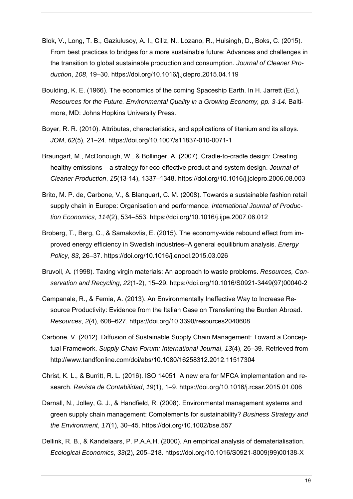- Blok, V., Long, T. B., Gaziulusoy, A. I., Ciliz, N., Lozano, R., Huisingh, D., Boks, C. (2015). From best practices to bridges for a more sustainable future: Advances and challenges in the transition to global sustainable production and consumption. *Journal of Cleaner Production*, *108*, 19–30. https://doi.org/10.1016/j.jclepro.2015.04.119
- Boulding, K. E. (1966). The economics of the coming Spaceship Earth. In H. Jarrett (Ed.), *Resources for the Future. Environmental Quality in a Growing Economy, pp. 3-14.* Baltimore, MD: Johns Hopkins University Press.
- Boyer, R. R. (2010). Attributes, characteristics, and applications of titanium and its alloys. *JOM*, *62*(5), 21–24. https://doi.org/10.1007/s11837-010-0071-1
- Braungart, M., McDonough, W., & Bollinger, A. (2007). Cradle-to-cradle design: Creating healthy emissions – a strategy for eco-effective product and system design. *Journal of Cleaner Production*, *15*(13-14), 1337–1348. https://doi.org/10.1016/j.jclepro.2006.08.003
- Brito, M. P. de, Carbone, V., & Blanquart, C. M. (2008). Towards a sustainable fashion retail supply chain in Europe: Organisation and performance. *International Journal of Production Economics*, *114*(2), 534–553. https://doi.org/10.1016/j.ijpe.2007.06.012
- Broberg, T., Berg, C., & Samakovlis, E. (2015). The economy-wide rebound effect from improved energy efficiency in Swedish industries–A general equilibrium analysis. *Energy Policy*, *83*, 26–37. https://doi.org/10.1016/j.enpol.2015.03.026
- Bruvoll, A. (1998). Taxing virgin materials: An approach to waste problems. *Resources, Conservation and Recycling*, *22*(1-2), 15–29. https://doi.org/10.1016/S0921-3449(97)00040-2
- Campanale, R., & Femia, A. (2013). An Environmentally Ineffective Way to Increase Resource Productivity: Evidence from the Italian Case on Transferring the Burden Abroad. *Resources*, *2*(4), 608–627. https://doi.org/10.3390/resources2040608
- Carbone, V. (2012). Diffusion of Sustainable Supply Chain Management: Toward a Conceptual Framework. *Supply Chain Forum: International Journal*, *13*(4), 26–39. Retrieved from http://www.tandfonline.com/doi/abs/10.1080/16258312.2012.11517304
- Christ, K. L., & Burritt, R. L. (2016). ISO 14051: A new era for MFCA implementation and research. *Revista de Contabilidad*, *19*(1), 1–9. https://doi.org/10.1016/j.rcsar.2015.01.006
- Darnall, N., Jolley, G. J., & Handfield, R. (2008). Environmental management systems and green supply chain management: Complements for sustainability? *Business Strategy and the Environment*, *17*(1), 30–45. https://doi.org/10.1002/bse.557
- Dellink, R. B., & Kandelaars, P. P.A.A.H. (2000). An empirical analysis of dematerialisation. *Ecological Economics*, *33*(2), 205–218. https://doi.org/10.1016/S0921-8009(99)00138-X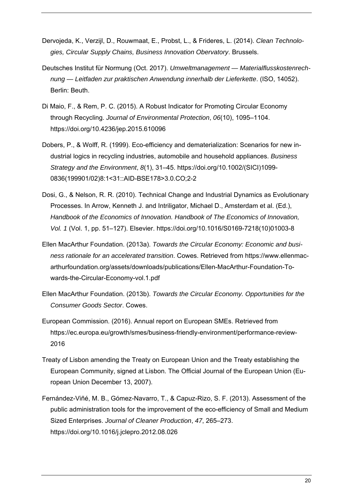- Dervojeda, K., Verzijl, D., Rouwmaat, E., Probst, L., & Frideres, L. (2014). *Clean Technologies, Circular Supply Chains, Business Innovation Obervatory*. Brussels.
- Deutsches Institut für Normung (Oct. 2017). *Umweltmanagement Materialflusskostenrechnung — Leitfaden zur praktischen Anwendung innerhalb der Lieferkette*. (ISO, 14052). Berlin: Beuth.
- Di Maio, F., & Rem, P. C. (2015). A Robust Indicator for Promoting Circular Economy through Recycling. *Journal of Environmental Protection*, *06*(10), 1095–1104. https://doi.org/10.4236/jep.2015.610096
- Dobers, P., & Wolff, R. (1999). Eco-efficiency and dematerialization: Scenarios for new industrial logics in recycling industries, automobile and household appliances. *Business Strategy and the Environment*, *8*(1), 31–45. https://doi.org/10.1002/(SICI)1099- 0836(199901/02)8:1<31::AID-BSE178>3.0.CO;2-2
- Dosi, G., & Nelson, R. R. (2010). Technical Change and Industrial Dynamics as Evolutionary Processes. In Arrow, Kenneth J. and Intriligator, Michael D., Amsterdam et al. (Ed.), *Handbook of the Economics of Innovation. Handbook of The Economics of Innovation, Vol. 1* (Vol. 1, pp. 51–127). Elsevier. https://doi.org/10.1016/S0169-7218(10)01003-8
- Ellen MacArthur Foundation. (2013a). *Towards the Circular Economy: Economic and business rationale for an accelerated transition*. Cowes. Retrieved from https://www.ellenmacarthurfoundation.org/assets/downloads/publications/Ellen-MacArthur-Foundation-Towards-the-Circular-Economy-vol.1.pdf
- Ellen MacArthur Foundation. (2013b). *Towards the Circular Economy. Opportunities for the Consumer Goods Sector*. Cowes.
- European Commission. (2016). Annual report on European SMEs. Retrieved from https://ec.europa.eu/growth/smes/business-friendly-environment/performance-review-2016
- Treaty of Lisbon amending the Treaty on European Union and the Treaty establishing the European Community, signed at Lisbon. The Official Journal of the European Union (European Union December 13, 2007).
- Fernández-Viñé, M. B., Gómez-Navarro, T., & Capuz-Rizo, S. F. (2013). Assessment of the public administration tools for the improvement of the eco-efficiency of Small and Medium Sized Enterprises. *Journal of Cleaner Production*, *47*, 265–273. https://doi.org/10.1016/j.jclepro.2012.08.026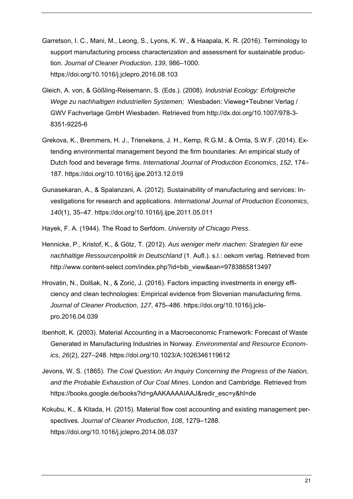- Garretson, I. C., Mani, M., Leong, S., Lyons, K. W., & Haapala, K. R. (2016). Terminology to support manufacturing process characterization and assessment for sustainable production. *Journal of Cleaner Production*, *139*, 986–1000. https://doi.org/10.1016/j.jclepro.2016.08.103
- Gleich, A. von, & Gößling-Reisemann, S. (Eds.). (2008). *Industrial Ecology: Erfolgreiche Wege zu nachhaltigen industriellen Systemen;* Wiesbaden: Vieweg+Teubner Verlag / GWV Fachverlage GmbH Wiesbaden. Retrieved from http://dx.doi.org/10.1007/978-3- 8351-9225-6
- Grekova, K., Bremmers, H. J., Trienekens, J. H., Kemp, R.G.M., & Omta, S.W.F. (2014). Extending environmental management beyond the firm boundaries: An empirical study of Dutch food and beverage firms. *International Journal of Production Economics*, *152*, 174– 187. https://doi.org/10.1016/j.ijpe.2013.12.019
- Gunasekaran, A., & Spalanzani, A. (2012). Sustainability of manufacturing and services: Investigations for research and applications. *International Journal of Production Economics*, *140*(1), 35–47. https://doi.org/10.1016/j.ijpe.2011.05.011
- Hayek, F. A. (1944). The Road to Serfdom. *University of Chicago Press*.
- Hennicke, P., Kristof, K., & Götz, T. (2012). *Aus weniger mehr machen: Strategien für eine nachhaltige Ressourcenpolitik in Deutschland* (1. Aufl.). s.l.: oekom verlag. Retrieved from http://www.content-select.com/index.php?id=bib\_view&ean=9783865813497
- Hrovatin, N., Dolšak, N., & Zorić, J. (2016). Factors impacting investments in energy efficiency and clean technologies: Empirical evidence from Slovenian manufacturing firms. *Journal of Cleaner Production*, *127*, 475–486. https://doi.org/10.1016/j.jclepro.2016.04.039
- Ibenholt, K. (2003). Material Accounting in a Macroeconomic Framework: Forecast of Waste Generated in Manufacturing Industries in Norway. *Environmental and Resource Economics*, *26*(2), 227–248. https://doi.org/10.1023/A:1026346119612
- Jevons, W. S. (1865). *The Coal Question; An Inquiry Concerning the Progress of the Nation, and the Probable Exhaustion of Our Coal Mines*. London and Cambridge. Retrieved from https://books.google.de/books?id=gAAKAAAAIAAJ&redir\_esc=y&hl=de
- Kokubu, K., & Kitada, H. (2015). Material flow cost accounting and existing management perspectives. *Journal of Cleaner Production*, *108*, 1279–1288. https://doi.org/10.1016/j.jclepro.2014.08.037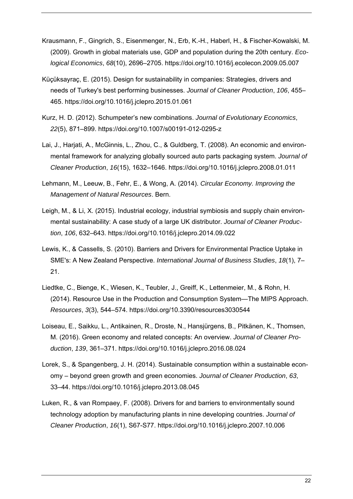- Krausmann, F., Gingrich, S., Eisenmenger, N., Erb, K.-H., Haberl, H., & Fischer-Kowalski, M. (2009). Growth in global materials use, GDP and population during the 20th century. *Ecological Economics*, *68*(10), 2696–2705. https://doi.org/10.1016/j.ecolecon.2009.05.007
- Küçüksayraç, E. (2015). Design for sustainability in companies: Strategies, drivers and needs of Turkey's best performing businesses. *Journal of Cleaner Production*, *106*, 455– 465. https://doi.org/10.1016/j.jclepro.2015.01.061
- Kurz, H. D. (2012). Schumpeter's new combinations. *Journal of Evolutionary Economics*, *22*(5), 871–899. https://doi.org/10.1007/s00191-012-0295-z
- Lai, J., Harjati, A., McGinnis, L., Zhou, C., & Guldberg, T. (2008). An economic and environmental framework for analyzing globally sourced auto parts packaging system. *Journal of Cleaner Production*, *16*(15), 1632–1646. https://doi.org/10.1016/j.jclepro.2008.01.011
- Lehmann, M., Leeuw, B., Fehr, E., & Wong, A. (2014). *Circular Economy. Improving the Management of Natural Resources*. Bern.
- Leigh, M., & Li, X. (2015). Industrial ecology, industrial symbiosis and supply chain environmental sustainability: A case study of a large UK distributor. *Journal of Cleaner Production*, *106*, 632–643. https://doi.org/10.1016/j.jclepro.2014.09.022
- Lewis, K., & Cassells, S. (2010). Barriers and Drivers for Environmental Practice Uptake in SME's: A New Zealand Perspective. *International Journal of Business Studies*, *18*(1), 7– 21.
- Liedtke, C., Bienge, K., Wiesen, K., Teubler, J., Greiff, K., Lettenmeier, M., & Rohn, H. (2014). Resource Use in the Production and Consumption System—The MIPS Approach. *Resources*, *3*(3), 544–574. https://doi.org/10.3390/resources3030544
- Loiseau, E., Saikku, L., Antikainen, R., Droste, N., Hansjürgens, B., Pitkänen, K., Thomsen, M. (2016). Green economy and related concepts: An overview. *Journal of Cleaner Production*, *139*, 361–371. https://doi.org/10.1016/j.jclepro.2016.08.024
- Lorek, S., & Spangenberg, J. H. (2014). Sustainable consumption within a sustainable economy – beyond green growth and green economies. *Journal of Cleaner Production*, *63*, 33–44. https://doi.org/10.1016/j.jclepro.2013.08.045
- Luken, R., & van Rompaey, F. (2008). Drivers for and barriers to environmentally sound technology adoption by manufacturing plants in nine developing countries. *Journal of Cleaner Production*, *16*(1), S67-S77. https://doi.org/10.1016/j.jclepro.2007.10.006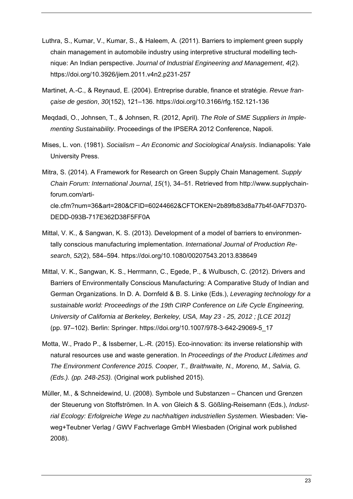- Luthra, S., Kumar, V., Kumar, S., & Haleem, A. (2011). Barriers to implement green supply chain management in automobile industry using interpretive structural modelling technique: An Indian perspective. *Journal of Industrial Engineering and Management*, *4*(2). https://doi.org/10.3926/jiem.2011.v4n2.p231-257
- Martinet, A.-C., & Reynaud, E. (2004). Entreprise durable, finance et stratégie. *Revue française de gestion*, *30*(152), 121–136. https://doi.org/10.3166/rfg.152.121-136
- Meqdadi, O., Johnsen, T., & Johnsen, R. (2012, April). *The Role of SME Suppliers in Implementing Sustainability*. Proceedings of the IPSERA 2012 Conference, Napoli.
- Mises, L. von. (1981). *Socialism An Economic and Sociological Analysis*. Indianapolis: Yale University Press.
- Mitra, S. (2014). A Framework for Research on Green Supply Chain Management. *Supply Chain Forum: International Journal*, *15*(1), 34–51. Retrieved from http://www.supplychainforum.com/article.cfm?num=36&art=280&CFID=60244662&CFTOKEN=2b89fb83d8a77b4f-0AF7D370- DEDD-093B-717E362D38F5FF0A
- Mittal, V. K., & Sangwan, K. S. (2013). Development of a model of barriers to environmentally conscious manufacturing implementation. *International Journal of Production Research*, *52*(2), 584–594. https://doi.org/10.1080/00207543.2013.838649
- Mittal, V. K., Sangwan, K. S., Herrmann, C., Egede, P., & Wulbusch, C. (2012). Drivers and Barriers of Environmentally Conscious Manufacturing: A Comparative Study of Indian and German Organizations. In D. A. Dornfeld & B. S. Linke (Eds.), *Leveraging technology for a sustainable world: Proceedings of the 19th CIRP Conference on Life Cycle Engineering, University of California at Berkeley, Berkeley, USA, May 23 - 25, 2012 ; [LCE 2012]*  (pp. 97–102). Berlin: Springer. https://doi.org/10.1007/978-3-642-29069-5\_17
- Motta, W., Prado P., & Issberner, L.-R. (2015). Eco-innovation: its inverse relationship with natural resources use and waste generation. In *Proceedings of the Product Lifetimes and The Environment Conference 2015. Cooper, T., Braithwaite, N., Moreno, M., Salvia, G. (Eds.). (pp. 248-253).* (Original work published 2015).
- Müller, M., & Schneidewind, U. (2008). Symbole und Substanzen Chancen und Grenzen der Steuerung von Stoffströmen. In A. von Gleich & S. Gößling-Reisemann (Eds.), *Industrial Ecology: Erfolgreiche Wege zu nachhaltigen industriellen Systemen.* Wiesbaden: Vieweg+Teubner Verlag / GWV Fachverlage GmbH Wiesbaden (Original work published 2008).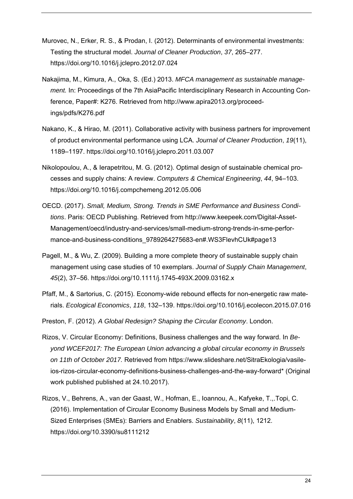- Murovec, N., Erker, R. S., & Prodan, I. (2012). Determinants of environmental investments: Testing the structural model. *Journal of Cleaner Production*, *37*, 265–277. https://doi.org/10.1016/j.jclepro.2012.07.024
- Nakajima, M., Kimura, A., Oka, S. (Ed.) 2013. *MFCA management as sustainable management.* In: Proceedings of the 7th AsiaPacific Interdisciplinary Research in Accounting Conference, Paper#: K276. Retrieved from http://www.apira2013.org/proceedings/pdfs/K276.pdf
- Nakano, K., & Hirao, M. (2011). Collaborative activity with business partners for improvement of product environmental performance using LCA. *Journal of Cleaner Production*, *19*(11), 1189–1197. https://doi.org/10.1016/j.jclepro.2011.03.007
- Nikolopoulou, A., & Ierapetritou, M. G. (2012). Optimal design of sustainable chemical processes and supply chains: A review. *Computers & Chemical Engineering*, *44*, 94–103. https://doi.org/10.1016/j.compchemeng.2012.05.006
- OECD. (2017). *Small, Medium, Strong. Trends in SME Performance and Business Conditions*. Paris: OECD Publishing. Retrieved from http://www.keepeek.com/Digital-Asset-Management/oecd/industry-and-services/small-medium-strong-trends-in-sme-performance-and-business-conditions 9789264275683-en#.WS3FlevhCUk#page13
- Pagell, M., & Wu, Z. (2009). Building a more complete theory of sustainable supply chain management using case studies of 10 exemplars. *Journal of Supply Chain Management*, *45*(2), 37–56. https://doi.org/10.1111/j.1745-493X.2009.03162.x
- Pfaff, M., & Sartorius, C. (2015). Economy-wide rebound effects for non-energetic raw materials. *Ecological Economics*, *118*, 132–139. https://doi.org/10.1016/j.ecolecon.2015.07.016
- Preston, F. (2012). *A Global Redesign? Shaping the Circular Economy*. London.
- Rizos, V. Circular Economy: Definitions, Business challenges and the way forward. In *Beyond WCEF2017: The European Union advancing a global circular economy in Brussels on 11th of October 2017.* Retrieved from https://www.slideshare.net/SitraEkologia/vasileios-rizos-circular-economy-definitions-business-challenges-and-the-way-forward\* (Original work published published at 24.10.2017).
- Rizos, V., Behrens, A., van der Gaast, W., Hofman, E., Ioannou, A., Kafyeke, T.,.Topi, C. (2016). Implementation of Circular Economy Business Models by Small and Medium-Sized Enterprises (SMEs): Barriers and Enablers. *Sustainability*, *8*(11), 1212. https://doi.org/10.3390/su8111212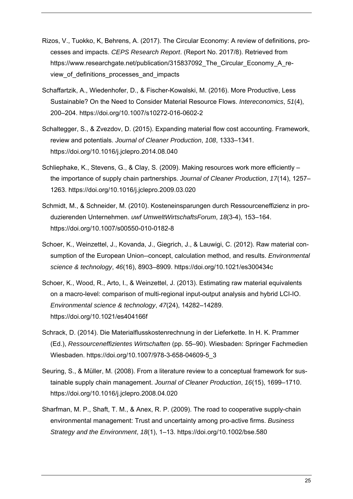- Rizos, V., Tuokko, K, Behrens, A. (2017). The Circular Economy: A review of definitions, processes and impacts. *CEPS Research Report*. (Report No. 2017/8). Retrieved from https://www.researchgate.net/publication/315837092 The Circular Economy A review of definitions processes and impacts
- Schaffartzik, A., Wiedenhofer, D., & Fischer-Kowalski, M. (2016). More Productive, Less Sustainable? On the Need to Consider Material Resource Flows. *Intereconomics*, *51*(4), 200–204. https://doi.org/10.1007/s10272-016-0602-2
- Schaltegger, S., & Zvezdov, D. (2015). Expanding material flow cost accounting. Framework, review and potentials. *Journal of Cleaner Production*, *108*, 1333–1341. https://doi.org/10.1016/j.jclepro.2014.08.040
- Schliephake, K., Stevens, G., & Clay, S. (2009). Making resources work more efficiently the importance of supply chain partnerships. *Journal of Cleaner Production*, *17*(14), 1257– 1263. https://doi.org/10.1016/j.jclepro.2009.03.020
- Schmidt, M., & Schneider, M. (2010). Kosteneinsparungen durch Ressourceneffizienz in produzierenden Unternehmen. *uwf UmweltWirtschaftsForum*, *18*(3-4), 153–164. https://doi.org/10.1007/s00550-010-0182-8
- Schoer, K., Weinzettel, J., Kovanda, J., Giegrich, J., & Lauwigi, C. (2012). Raw material consumption of the European Union--concept, calculation method, and results. *Environmental science & technology*, *46*(16), 8903–8909. https://doi.org/10.1021/es300434c
- Schoer, K., Wood, R., Arto, I., & Weinzettel, J. (2013). Estimating raw material equivalents on a macro-level: comparison of multi-regional input-output analysis and hybrid LCI-IO. *Environmental science & technology*, *47*(24), 14282–14289. https://doi.org/10.1021/es404166f
- Schrack, D. (2014). Die Materialflusskostenrechnung in der Lieferkette. In H. K. Prammer (Ed.), *Ressourceneffizientes Wirtschaften* (pp. 55–90). Wiesbaden: Springer Fachmedien Wiesbaden. https://doi.org/10.1007/978-3-658-04609-5\_3
- Seuring, S., & Müller, M. (2008). From a literature review to a conceptual framework for sustainable supply chain management. *Journal of Cleaner Production*, *16*(15), 1699–1710. https://doi.org/10.1016/j.jclepro.2008.04.020
- Sharfman, M. P., Shaft, T. M., & Anex, R. P. (2009). The road to cooperative supply-chain environmental management: Trust and uncertainty among pro-active firms. *Business Strategy and the Environment*, *18*(1), 1–13. https://doi.org/10.1002/bse.580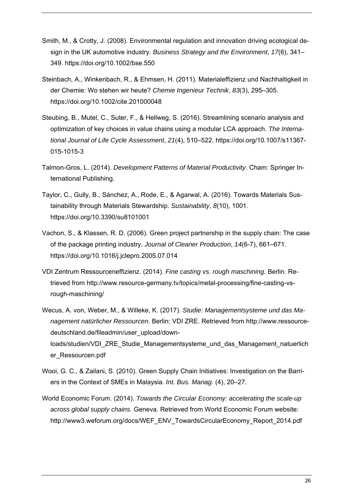- Smith, M., & Crotty, J. (2008). Environmental regulation and innovation driving ecological design in the UK automotive industry. *Business Strategy and the Environment*, *17*(6), 341– 349. https://doi.org/10.1002/bse.550
- Steinbach, A., Winkenbach, R., & Ehmsen, H. (2011). Materialeffizienz und Nachhaltigkeit in der Chemie: Wo stehen wir heute? *Chemie Ingenieur Technik*, *83*(3), 295–305. https://doi.org/10.1002/cite.201000048
- Steubing, B., Mutel, C., Suter, F., & Hellweg, S. (2016). Streamlining scenario analysis and optimization of key choices in value chains using a modular LCA approach. *The International Journal of Life Cycle Assessment*, *21*(4), 510–522. https://doi.org/10.1007/s11367- 015-1015-3
- Talmon-Gros, L. (2014). *Development Patterns of Material Productivity*. Cham: Springer International Publishing.
- Taylor, C., Gully, B., Sánchez, A., Rode, E., & Agarwal, A. (2016). Towards Materials Sustainability through Materials Stewardship. *Sustainability*, *8*(10), 1001. https://doi.org/10.3390/su8101001
- Vachon, S., & Klassen, R. D. (2006). Green project partnership in the supply chain: The case of the package printing industry. *Journal of Cleaner Production*, *14*(6-7), 661–671. https://doi.org/10.1016/j.jclepro.2005.07.014
- VDI Zentrum Ressourceneffizienz. (2014). *Fine casting vs. rough maschining*. Berlin. Retrieved from http://www.resource-germany.tv/topics/metal-processing/fine-casting-vsrough-maschining/
- Wecus, A. von, Weber, M., & Willeke, K. (2017). *Studie: Managementsysteme und das Management natürlicher Ressourcen*. Berlin: VDI ZRE. Retrieved from http://www.ressourcedeutschland.de/fileadmin/user\_upload/downloads/studien/VDI\_ZRE\_Studie\_Managementsysteme\_und\_das\_Management\_natuerlich er\_Ressourcen.pdf
- Wooi, G. C., & Zailani, S. (2010). Green Supply Chain Initiatives: Investigation on the Barriers in the Context of SMEs in Malaysia. *Int. Bus. Manag.* (4), 20–27.
- World Economic Forum. (2014). *Towards the Circular Economy: accelerating the scale-up across global supply chains.* Geneva. Retrieved from World Economic Forum website: http://www3.weforum.org/docs/WEF\_ENV\_TowardsCircularEconomy\_Report\_2014.pdf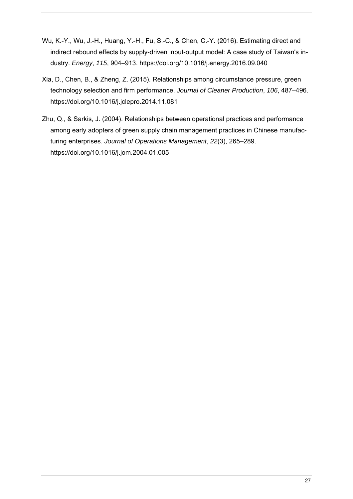- Wu, K.-Y., Wu, J.-H., Huang, Y.-H., Fu, S.-C., & Chen, C.-Y. (2016). Estimating direct and indirect rebound effects by supply-driven input-output model: A case study of Taiwan's industry. *Energy*, *115*, 904–913. https://doi.org/10.1016/j.energy.2016.09.040
- Xia, D., Chen, B., & Zheng, Z. (2015). Relationships among circumstance pressure, green technology selection and firm performance. *Journal of Cleaner Production*, *106*, 487–496. https://doi.org/10.1016/j.jclepro.2014.11.081
- Zhu, Q., & Sarkis, J. (2004). Relationships between operational practices and performance among early adopters of green supply chain management practices in Chinese manufacturing enterprises. *Journal of Operations Management*, *22*(3), 265–289. https://doi.org/10.1016/j.jom.2004.01.005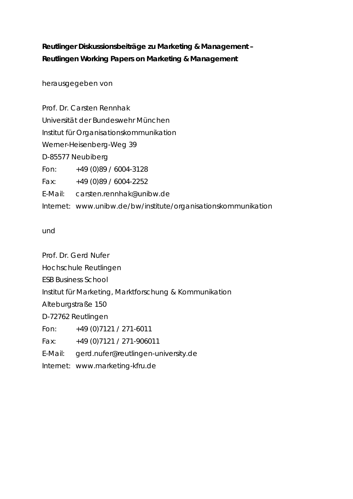## **Reutlinger Diskussionsbeiträge zu Marketing & Management – Reutlingen Working Papers on Marketing & Management**

herausgegeben von

Prof. Dr. Carsten Rennhak Universität der Bundeswehr München Institut für Organisationskommunikation Werner-Heisenberg-Weg 39 D-85577 Neubiberg Fon: +49 (0)89 / 6004-3128 Fax: +49 (0)89 / 6004-2252 E-Mail: carsten.rennhak@unibw.de Internet: www.unibw.de/bw/institute/organisationskommunikation

und

Prof. Dr. Gerd Nufer Hochschule Reutlingen ESB Business School Institut für Marketing, Marktforschung & Kommunikation Alteburgstraße 150 D-72762 Reutlingen Fon: +49 (0)7121 / 271-6011 Fax: +49 (0)7121 / 271-906011 E-Mail: gerd.nufer@reutlingen-university.de Internet: www.marketing-kfru.de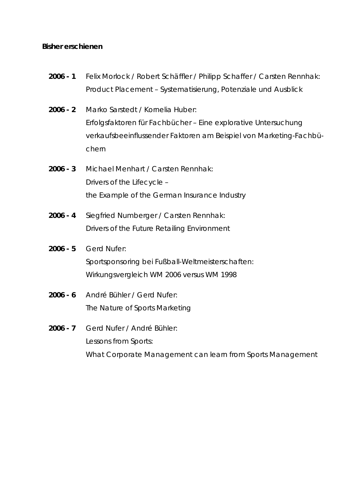#### **Bisher erschienen**

- **2006 1** *Felix Morlock / Robert Schäffler / Philipp Schaffer / Carsten Rennhak*: Product Placement – Systematisierung, Potenziale und Ausblick
- **2006 2** *Marko Sarstedt / Kornelia Huber:*  Erfolgsfaktoren für Fachbücher – Eine explorative Untersuchung verkaufsbeeinflussender Faktoren am Beispiel von Marketing-Fachbüchern
- **2006 3** *Michael Menhart / Carsten Rennhak:*  Drivers of the Lifecycle – the Example of the German Insurance Industry
- **2006 4** *Siegfried Numberger / Carsten Rennhak:*  Drivers of the Future Retailing Environment

#### **2006 - 5** *Gerd Nufer:*

Sportsponsoring bei Fußball-Weltmeisterschaften: Wirkungsvergleich WM 2006 versus WM 1998

- **2006 6** *André Bühler / Gerd Nufer:*  The Nature of Sports Marketing
- **2006 7** *Gerd Nufer / André Bühler:*  Lessons from Sports: What Corporate Management can learn from Sports Management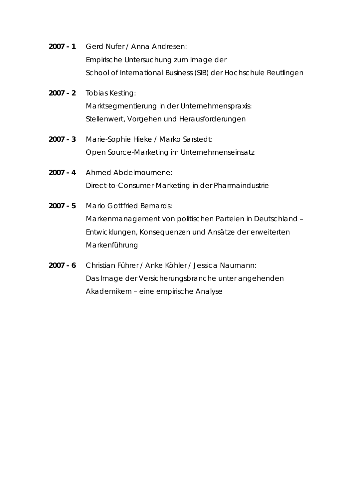- **2007 1** *Gerd Nufer / Anna Andresen:*  Empirische Untersuchung zum Image der School of International Business (SIB) der Hochschule Reutlingen
- **2007 2** *Tobias Kesting:*  Marktsegmentierung in der Unternehmenspraxis: Stellenwert, Vorgehen und Herausforderungen
- **2007 3** *Marie-Sophie Hieke / Marko Sarstedt:*  Open Source-Marketing im Unternehmenseinsatz
- **2007 4** *Ahmed Abdelmoumene:*  Direct-to-Consumer-Marketing in der Pharmaindustrie
- **2007 5** *Mario Gottfried Bernards:*  Markenmanagement von politischen Parteien in Deutschland – Entwicklungen, Konsequenzen und Ansätze der erweiterten Markenführung
- **2007 6** *Christian Führer / Anke Köhler / Jessica Naumann:*  Das Image der Versicherungsbranche unter angehenden Akademikern – eine empirische Analyse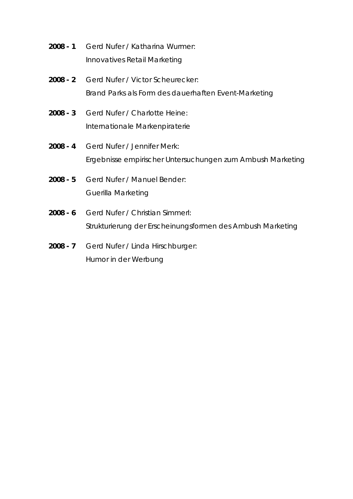- **2008 1** *Gerd Nufer / Katharina Wurmer:*  Innovatives Retail Marketing
- **2008 2** *Gerd Nufer / Victor Scheurecker:*  Brand Parks als Form des dauerhaften Event-Marketing
- **2008 3** *Gerd Nufer / Charlotte Heine:*  Internationale Markenpiraterie
- **2008 4** *Gerd Nufer / Jennifer Merk:*  Ergebnisse empirischer Untersuchungen zum Ambush Marketing
- **2008 5** *Gerd Nufer / Manuel Bender:*  Guerilla Marketing
- **2008 6** *Gerd Nufer / Christian Simmerl:*  Strukturierung der Erscheinungsformen des Ambush Marketing
- **2008 7** *Gerd Nufer / Linda Hirschburger:*  Humor in der Werbung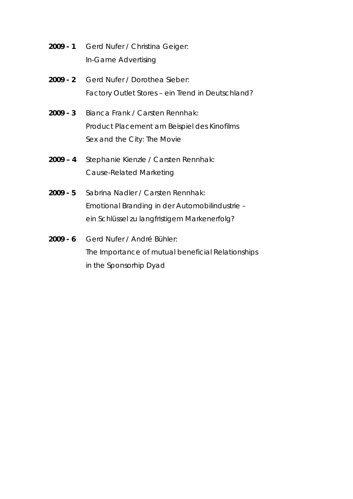- **2009 1** *Gerd Nufer / Christina Geiger:*  In-Game Advertising
- **2009 2** *Gerd Nufer / Dorothea Sieber:*  Factory Outlet Stores – ein Trend in Deutschland?
- **2009 3** *Bianca Frank / Carsten Rennhak:*  Product Placement am Beispiel des Kinofilms Sex and the City: The Movie
- **2009 4** *Stephanie Kienzle / Carsten Rennhak:*  Cause-Related Marketing
- **2009 5** *Sabrina Nadler / Carsten Rennhak:*  Emotional Branding in der Automobilindustrie – ein Schlüssel zu langfristigem Markenerfolg?
- **2009 6** *Gerd Nufer / André Bühler:*  The Importance of mutual beneficial Relationships in the Sponsorhip Dyad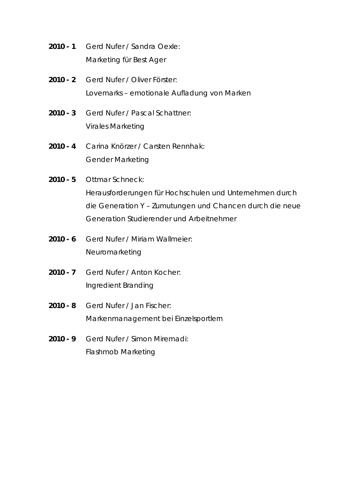- **2010 1** *Gerd Nufer / Sandra Oexle:*  Marketing für Best Ager
- **2010 2** *Gerd Nufer / Oliver Förster:*  Lovemarks – emotionale Aufladung von Marken
- **2010 3** *Gerd Nufer / Pascal Schattner:*  Virales Marketing
- **2010 4** *Carina Knörzer / Carsten Rennhak:*  Gender Marketing
- **2010 5** *Ottmar Schneck:*

Herausforderungen für Hochschulen und Unternehmen durch die Generation Y – Zumutungen und Chancen durch die neue Generation Studierender und Arbeitnehmer

- **2010 6** *Gerd Nufer / Miriam Wallmeier:*  Neuromarketing
- **2010 7** *Gerd Nufer / Anton Kocher:*  Ingredient Branding
- **2010 8** *Gerd Nufer / Jan Fischer:*  Markenmanagement bei Einzelsportlern
- **2010 9** *Gerd Nufer / Simon Miremadi:*  Flashmob Marketing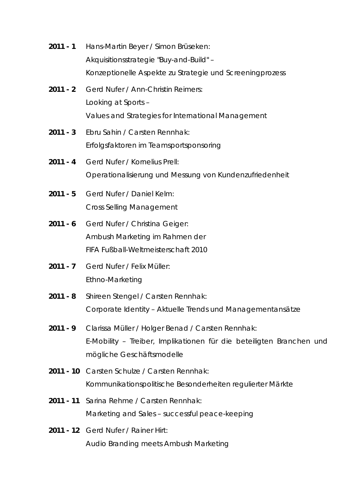- **2011 1** *Hans-Martin Beyer / Simon Brüseken:*  Akquisitionsstrategie "Buy-and-Build" – Konzeptionelle Aspekte zu Strategie und Screeningprozess
- **2011 2** *Gerd Nufer / Ann-Christin Reimers:*  Looking at Sports – Values and Strategies for International Management
- **2011 3** *Ebru Sahin / Carsten Rennhak:*  Erfolgsfaktoren im Teamsportsponsoring
- **2011 4** *Gerd Nufer / Kornelius Prell:*  Operationalisierung und Messung von Kundenzufriedenheit
- **2011 5** *Gerd Nufer / Daniel Kelm:*  Cross Selling Management
- **2011 6** *Gerd Nufer / Christina Geiger:*  Ambush Marketing im Rahmen der FIFA Fußball-Weltmeisterschaft 2010
- **2011 7** *Gerd Nufer / Felix Müller:*  Ethno-Marketing
- **2011 8** *Shireen Stengel / Carsten Rennhak:*  Corporate Identity – Aktuelle Trends und Managementansätze
- **2011 9** *Clarissa Müller / Holger Benad / Carsten Rennhak:*  E-Mobility – Treiber, Implikationen für die beteiligten Branchen und mögliche Geschäftsmodelle
- **2011 10** *Carsten Schulze / Carsten Rennhak:*  Kommunikationspolitische Besonderheiten regulierter Märkte
- **2011 11** *Sarina Rehme / Carsten Rennhak:*  Marketing and Sales – successful peace-keeping
- **2011 12** *Gerd Nufer / Rainer Hirt:*  Audio Branding meets Ambush Marketing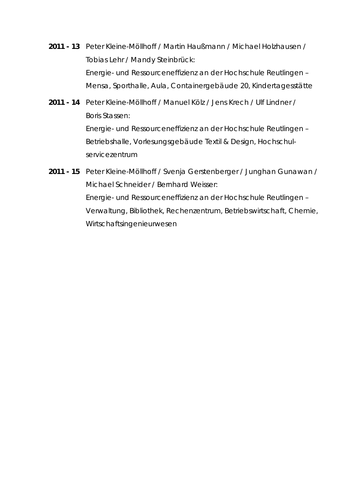- **2011 13** *Peter Kleine-Möllhoff / Martin Haußmann / Michael Holzhausen / Tobias Lehr / Mandy Steinbrück:*  Energie- und Ressourceneffizienz an der Hochschule Reutlingen – Mensa, Sporthalle, Aula, Containergebäude 20, Kindertagesstätte
- **2011 14** *Peter Kleine-Möllhoff / Manuel Kölz / Jens Krech / Ulf Lindner / Boris Stassen:*  Energie- und Ressourceneffizienz an der Hochschule Reutlingen – Betriebshalle, Vorlesungsgebäude Textil & Design, Hochschulservicezentrum
- **2011 15** *Peter Kleine-Möllhoff / Svenja Gerstenberger / Junghan Gunawan / Michael Schneider / Bernhard Weisser:*  Energie- und Ressourceneffizienz an der Hochschule Reutlingen – Verwaltung, Bibliothek, Rechenzentrum, Betriebswirtschaft, Chemie, Wirtschaftsingenieurwesen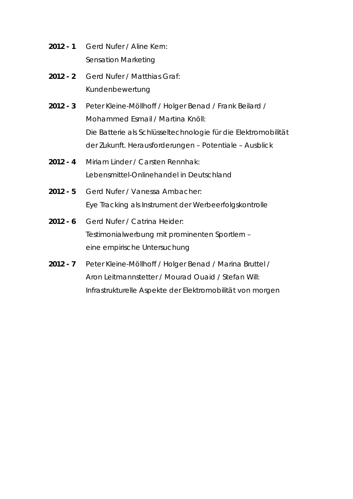- **2012 1** *Gerd Nufer / Aline Kern:*  Sensation Marketing
- **2012 2** *Gerd Nufer / Matthias Graf:*  Kundenbewertung
- **2012 3** *Peter Kleine-Möllhoff / Holger Benad / Frank Beilard / Mohammed Esmail / Martina Knöll:*  Die Batterie als Schlüsseltechnologie für die Elektromobilität der Zukunft. Herausforderungen – Potentiale – Ausblick
- **2012 4** *Miriam Linder / Carsten Rennhak:*  Lebensmittel-Onlinehandel in Deutschland
- **2012 5** *Gerd Nufer / Vanessa Ambacher:*  Eye Tracking als Instrument der Werbeerfolgskontrolle
- **2012 6** *Gerd Nufer / Catrina Heider:*  Testimonialwerbung mit prominenten Sportlern – eine empirische Untersuchung
- **2012 7** *Peter Kleine-Möllhoff / Holger Benad / Marina Bruttel / Aron Leitmannstetter / Mourad Ouaid / Stefan Will:*  Infrastrukturelle Aspekte der Elektromobilität von morgen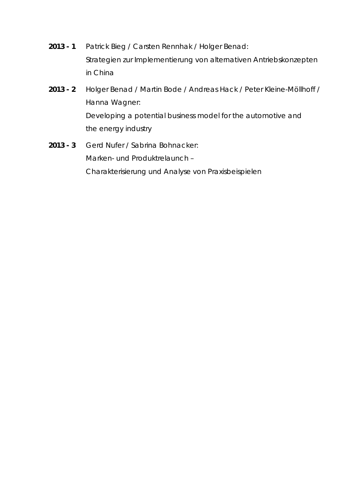- **2013 1** *Patrick Bieg / Carsten Rennhak / Holger Benad: Strategien zur Implementierung von alternativen Antriebskonzepten in China*
- **2013 2** *Holger Benad / Martin Bode / Andreas Hack / Peter Kleine-Möllhoff / Hanna Wagner: Developing a potential business model for the automotive and the energy industry*
- **2013 3** *Gerd Nufer / Sabrina Bohnacker:*  Marken- und Produktrelaunch – Charakterisierung und Analyse von Praxisbeispielen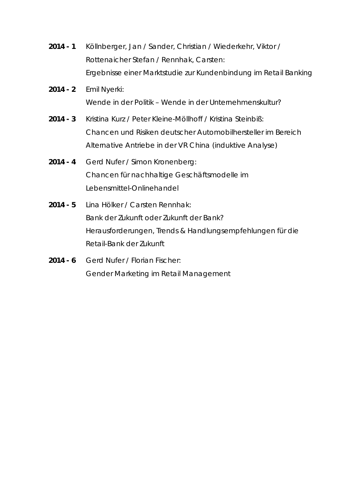- **2014 1** *Köllnberger, Jan / Sander, Christian / Wiederkehr, Viktor / Rottenaicher Stefan / Rennhak, Carsten:*  Ergebnisse einer Marktstudie zur Kundenbindung im Retail Banking
- **2014 2** *Emil Nyerki:*  Wende in der Politik – Wende in der Unternehmenskultur?
- **2014 3** *Kristina Kurz / Peter Kleine-Möllhoff / Kristina Steinbiß:*  Chancen und Risiken deutscher Automobilhersteller im Bereich Alternative Antriebe in der VR China (induktive Analyse)
- **2014 4** *Gerd Nufer / Simon Kronenberg:*  Chancen für nachhaltige Geschäftsmodelle im Lebensmittel-Onlinehandel
- **2014 5** *Lina Hölker / Carsten Rennhak:*  Bank der Zukunft oder Zukunft der Bank? Herausforderungen, Trends & Handlungsempfehlungen für die Retail-Bank der Zukunft
- **2014 6** *Gerd Nufer / Florian Fischer:*  Gender Marketing im Retail Management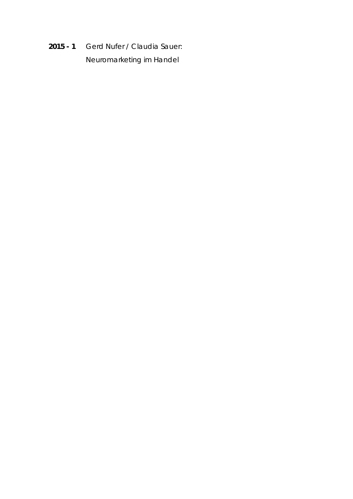**2015 - 1** *Gerd Nufer / Claudia Sauer:*  Neuromarketing im Handel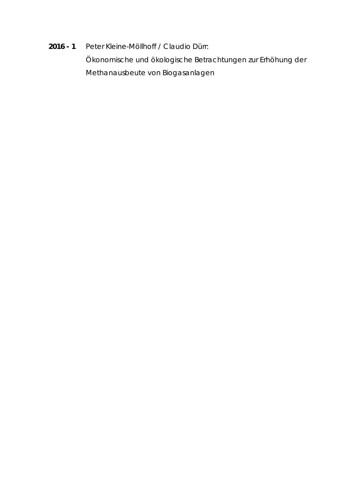# **2016 - 1** *Peter Kleine-Möllhoff / Claudio Dürr:*  Ökonomische und ökologische Betrachtungen zur Erhöhung der Methanausbeute von Biogasanlagen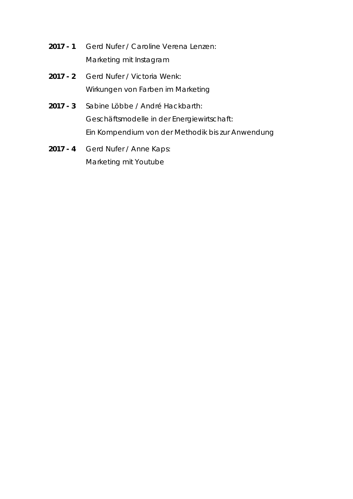- **2017 1** *Gerd Nufer / Caroline Verena Lenzen:*  Marketing mit Instagram
- **2017 2** *Gerd Nufer / Victoria Wenk:*  Wirkungen von Farben im Marketing
- **2017 3** *Sabine Löbbe / André Hackbarth:*  Geschäftsmodelle in der Energiewirtschaft: Ein Kompendium von der Methodik bis zur Anwendung
- **2017 4** *Gerd Nufer / Anne Kaps:*  Marketing mit Youtube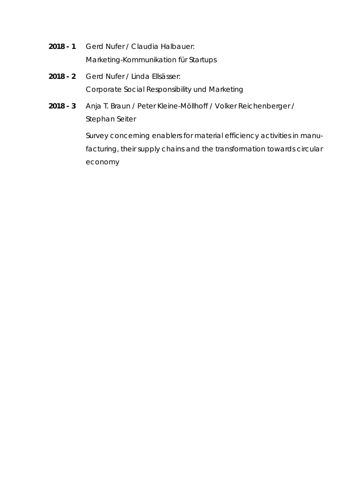- **2018 1** *Gerd Nufer / Claudia Halbauer:*  Marketing-Kommunikation für Startups
- **2018 2** *Gerd Nufer / Linda Ellsässer:*  Corporate Social Responsibility und Marketing
- **2018 3** *Anja T. Braun / Peter Kleine-Möllhoff / Volker Reichenberger / Stephan Seiter*

Survey concerning enablers for material efficiency activities in manufacturing, their supply chains and the transformation towards circular economy